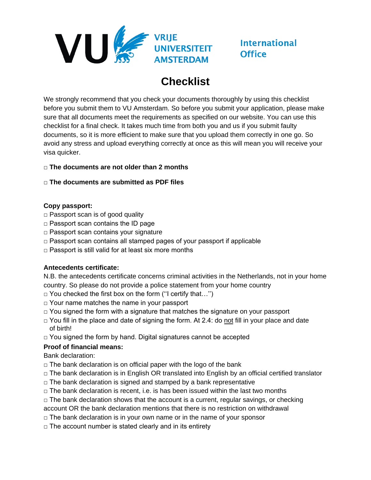

# **International Office**

# **Checklist**

We strongly recommend that you check your documents thoroughly by using this checklist before you submit them to VU Amsterdam. So before you submit your application, please make sure that all documents meet the requirements as specified on our website. You can use this checklist for a final check. It takes much time from both you and us if you submit faulty documents, so it is more efficient to make sure that you upload them correctly in one go. So avoid any stress and upload everything correctly at once as this will mean you will receive your visa quicker.

#### **□ The documents are not older than 2 months**

#### **□ The documents are submitted as PDF files**

#### **Copy passport:**

- **□** Passport scan is of good quality
- □ Passport scan contains the ID page
- □ Passport scan contains your signature
- $\Box$  Passport scan contains all stamped pages of your passport if applicable
- □ Passport is still valid for at least six more months

#### **Antecedents certificate:**

N.B. the antecedents certificate concerns criminal activities in the Netherlands, not in your home country. So please do not provide a police statement from your home country

- $\Box$  You checked the first box on the form ("I certify that...")
- $\Box$  Your name matches the name in your passport
- $\Box$  You signed the form with a signature that matches the signature on your passport
- $\Box$  You fill in the place and date of signing the form. At 2.4: do not fill in your place and date of birth!
- $\Box$  You signed the form by hand. Digital signatures cannot be accepted

#### **Proof of financial means:**

Bank declaration:

- $\Box$  The bank declaration is on official paper with the logo of the bank
- □ The bank declaration is in English OR translated into English by an official certified translator
- $\Box$  The bank declaration is signed and stamped by a bank representative
- $\Box$  The bank declaration is recent, i.e. is has been issued within the last two months
- $\Box$  The bank declaration shows that the account is a current, regular savings, or checking
- account OR the bank declaration mentions that there is no restriction on withdrawal
- $\Box$  The bank declaration is in your own name or in the name of your sponsor
- $\Box$  The account number is stated clearly and in its entirety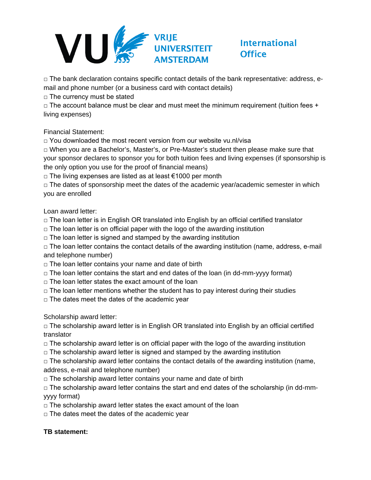

### **International Office**

□ The bank declaration contains specific contact details of the bank representative: address, email and phone number (or a business card with contact details)

 $\Box$  The currency must be stated

 $\Box$  The account balance must be clear and must meet the minimum requirement (tuition fees + living expenses)

Financial Statement:

□ You downloaded the most recent version from our website vu.nl/visa

 $\Box$  When you are a Bachelor's, Master's, or Pre-Master's student then please make sure that your sponsor declares to sponsor you for both tuition fees and living expenses (if sponsorship is the only option you use for the proof of financial means)

□ The living expenses are listed as at least  $€1000$  per month

 $\Box$  The dates of sponsorship meet the dates of the academic year/academic semester in which you are enrolled

Loan award letter:

 $\Box$  The loan letter is in English OR translated into English by an official certified translator

- $\Box$  The loan letter is on official paper with the logo of the awarding institution
- $\Box$  The loan letter is signed and stamped by the awarding institution

 $\Box$  The loan letter contains the contact details of the awarding institution (name, address, e-mail and telephone number)

- $\Box$  The loan letter contains your name and date of birth
- $\Box$  The loan letter contains the start and end dates of the loan (in dd-mm-yyyy format)
- $\Box$  The loan letter states the exact amount of the loan
- $\Box$  The loan letter mentions whether the student has to pay interest during their studies
- $\Box$  The dates meet the dates of the academic year

Scholarship award letter:

 $\Box$  The scholarship award letter is in English OR translated into English by an official certified translator

- $\Box$  The scholarship award letter is on official paper with the logo of the awarding institution
- $\Box$  The scholarship award letter is signed and stamped by the awarding institution

 $\Box$  The scholarship award letter contains the contact details of the awarding institution (name, address, e-mail and telephone number)

 $\Box$  The scholarship award letter contains your name and date of birth

 $\Box$  The scholarship award letter contains the start and end dates of the scholarship (in dd-mmyyyy format)

- $\Box$  The scholarship award letter states the exact amount of the loan
- $\Box$  The dates meet the dates of the academic year

#### **TB statement:**